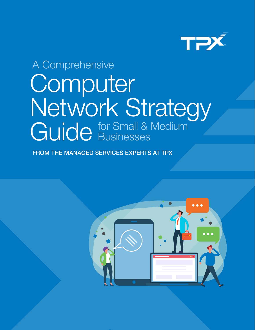

# **Computer** Network Strategy Guide for Small & Medium A Comprehensive **Businesses**

FROM THE MANAGED SERVICES EXPERTS AT TPX

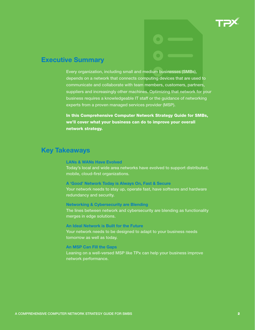

## Executive Summary

Every organization, including small and medium businesses (SMBs), depends on a network that connects computing devices that are used to communicate and collaborate with team members, customers, partners, suppliers and increasingly other machines. Optimizing that network for your business requires a knowledgeable IT staff or the guidance of networking experts from a proven managed services provider (MSP).

In this Comprehensive Computer Network Strategy Guide for SMBs, we'll cover what your business can do to improve your overall network strategy.

### Key Takeaways

#### LANs & WANs Have Evolved

Today's local and wide area networks have evolved to support distributed, mobile, cloud-first organizations.

#### A 'Good' Network Today is Always On, Fast & Secure

Your network needs to stay up, operate fast, have software and hardware redundancy and security.

#### Networking & Cybersecurity are Blending

The lines between network and cybersecurity are blending as functionality merges in edge solutions.

#### An Ideal Network is Built for the Future

Your network needs to be designed to adapt to your business needs tomorrow as well as today.

#### An MSP Can Fill the Gaps

Leaning on a well-versed MSP like TPx can help your business improve network performance.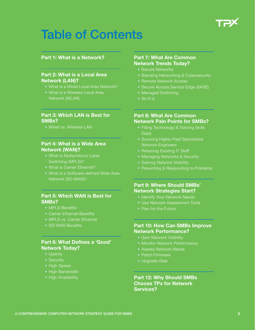

## Table of Contents

#### [Part 1: What is a Network?](#page-3-0)

#### [Part 2: What is a Local Area](#page-4-0)  [Network \(LAN\)?](#page-4-0)

- [What is a Wired Local Area Network?](#page-5-0)
- [What is a Wireless Local Area](#page-6-0)

#### [Part 3: Which LAN is Best for](#page-7-0)  [SMBs?](#page-7-0)

• [Wired vs. Wireless LAN](#page-7-0)

#### [Part 4: What is a Wide Area](#page-8-0)  [Network \(WAN\)?](#page-8-0)

- [What is Multiprotocol Label](#page-9-0)  [Switching \(MPLS\)?](#page-9-0)
- [What is Carrier Ethernet?](#page-9-0)
- [What is a Software-defined Wide Area](#page-11-0)  [Network \(SD-WAN\)?](#page-11-0)

#### [Part 5: Which WAN is Best for](#page-12-0)  [SMBs?](#page-12-0)

- [MPLS Benefits](#page-12-0)
- [Carrier Ethernet Benefits](#page-13-0)
- [MPLS vs. Carrier Ethernet](#page-14-0)
- [SD-WAN Benefits](#page-15-0)

#### [Part 6: What Defines a 'Good'](#page-16-0)  [Network Today?](#page-16-0)

- [Uptime](#page-16-0)
- [Security](#page-17-0)
- [High Speed](#page-17-0)
- [High Bandwidth](#page-17-0)
- [High Availability](#page-17-0)

#### [Part 7: What Are Common](#page-18-0)  [Network Trends Today?](#page-18-0)

- [Secure Networks](#page-18-0)
- [Blending Networking & Cybersecurity](#page-19-0)
- [Remote Network Access](#page-19-0)
- Secure Access Service Edge (SASE)
- [Managed Switching](#page-20-0)
- 

#### [Part 8: What Are Common](#page-21-0)  [Network Pain Points for SMBs?](#page-21-0)

- [Filling Technology & Training Skills](#page-21-0)  **Gaps**
- [Sourcing Highly-Paid Specialized](#page-22-0)  [Network Engineers](#page-22-0)
- [Retaining Existing IT Staff](#page-22-0)
- [Managing Networks & Security](#page-22-0)
- [Gaining Network Visibility](#page-22-0)
- [Preventing & Responding to Problems](#page-22-0)

#### [Part 9: Where Should SMBs'](#page-23-0)  [Network Strategies Start?](#page-23-0)

- [Identify Your Network Needs](#page-23-0)
- [Use Network Assessment Tools](#page-24-0)
- [Plan for the Future](#page-24-0)

#### [Part 10: How Can SMBs Improve](#page-25-0)  [Network Performance?](#page-25-0)

- [Gain Network Visibility](#page-25-0)
- [Monitor Network Performance](#page-25-0)
- [Assess Network Needs](#page-25-0)
- [Patch Firmware](#page-25-0)
- [Upgrade Gear](#page-25-0)

[Part 12: Why Should SMBs](#page-26-0)  [Choose TPx for Network](#page-26-0)  [Services?](#page-26-0)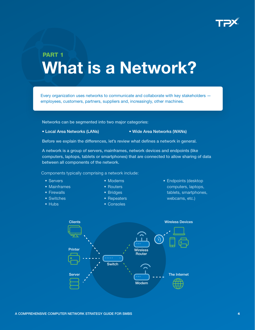

## <span id="page-3-0"></span>PART 1 What is a Network?

Every organization uses networks to communicate and collaborate with key stakeholders employees, customers, partners, suppliers and, increasingly, other machines.

Networks can be segmented into two major categories:

- 
- Local Area Networks (LANs) Wide Area Networks (WANs)

Before we explain the differences, let's review what defines a network in general.

A network is a group of servers, mainframes, network devices and endpoints (like computers, laptops, tablets or smartphones) that are connected to allow sharing of data between all components of the network.

Components typically comprising a network include:

- Servers
- Mainframes
- Firewalls
- Switches
- Hubs
- Modems
- Routers
- Bridges
- Repeaters
- Consoles

• Endpoints (desktop computers, laptops, tablets, smartphones, webcams, etc.)

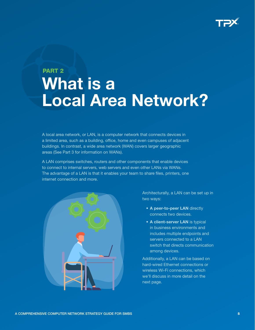

## <span id="page-4-0"></span>PART 2 What is a Local Area Network?

A local area network, or LAN, is a computer network that connects devices in a limited area, such as a building, office, home and even campuses of adjacent buildings. In contrast, a wide area network (WAN) covers larger geographic areas (See Part 3 for information on WANs).

A LAN comprises switches, routers and other components that enable devices to connect to internal servers, web servers and even other LANs via WANs. The advantage of a LAN is that it enables your team to share files, printers, one internet connection and more.



Architecturally, a LAN can be set up in two ways:

- A peer-to-peer LAN directly connects two devices.
- A client-server LAN is typical in business environments and includes multiple endpoints and servers connected to a LAN switch that directs communication among devices.

Additionally, a LAN can be based on hard-wired Ethernet connections or wireless Wi-Fi connections, which we'll discuss in more detail on the next page.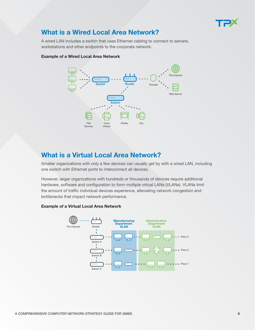

## <span id="page-5-0"></span>What is a Wired Local Area Network?

A wired LAN includes a switch that uses Ethernet cabling to connect to servers, workstations and other endpoints to the corporate network.



#### Example of a Wired Local Area Network

## What is a Virtual Local Area Network?

Smaller organizations with only a few devices can usually get by with a wired LAN, including one switch with Ethernet ports to interconnect all devices.

However, larger organizations with hundreds or thousands of devices require additional hardware, software and configuration to form multiple virtual LANs (VLANs). VLANs limit the amount of traffic individual devices experience, alleviating network congestion and bottlenecks that impact network performance.

#### Manufacturing Administrative **Department Department** The Internet Route VLAN VLAN ń Floor 3 [..... Switch A Floor 2 <u>.....</u> Switch B <del>.....</del> Floor 1 Switch C

#### Example of a Virtual Local Area Network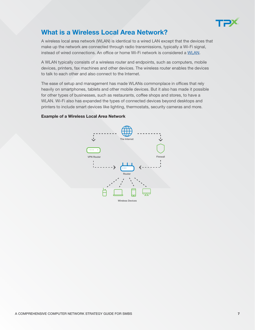

## <span id="page-6-0"></span>What is a Wireless Local Area Network?

A wireless local area network (WLAN) is identical to a wired LAN except that the devices that make up the network are connected through radio transmissions, typically a Wi-Fi signal, instead of wired connections. An office or home Wi-Fi network is considered a [WLAN.](https://www.tpx.com/services/managed-it/managed-networks/)

A WLAN typically consists of a wireless router and endpoints, such as computers, mobile devices, printers, fax machines and other devices. The wireless router enables the devices to talk to each other and also connect to the Internet.

The ease of setup and management has made WLANs commonplace in offices that rely heavily on smartphones, tablets and other mobile devices. But it also has made it possible for other types of businesses, such as restaurants, coffee shops and stores, to have a WLAN. Wi-Fi also has expanded the types of connected devices beyond desktops and printers to include smart devices like lighting, thermostats, security cameras and more.

#### Example of a Wireless Local Area Network

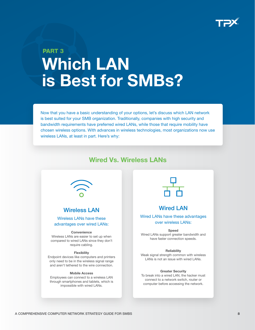

## <span id="page-7-0"></span>PART 3 Which LAN is Best for SMBs?

Now that you have a basic understanding of your options, let's discuss which LAN network is best suited for your SMB organization. Traditionally, companies with high security and bandwidth requirements have preferred wired LANs, while those that require mobility have chosen wireless options. With advances in wireless technologies, most organizations now use wireless LANs, at least in part. Here's why:

## Wired Vs. Wireless LANs



#### Wireless LAN

Wireless LANs have these advantages over wired LANs:

#### **Convenience**

Wireless LANs are easier to set up when compared to wired LANs since they don't require cabling.

#### **Flexibility**

Endpoint devices like computers and printers only need to be in the wireless signal range and aren't tethered to the wire connection.

#### Mobile Access

Employees can connect to a wireless LAN through smartphones and tablets, which is impossible with wired LANs.



#### Wired LAN

Wired LANs have these advantages over wireless LANs:

#### Speed

Wired LANs support greater bandwidth and have faster connection speeds.

#### **Reliability**

Weak signal strength common with wireless LANs is not an issue with wired LANs.

#### Greater Security

To break into a wired LAN, the hacker must connect to a network switch, router or computer before accessing the network.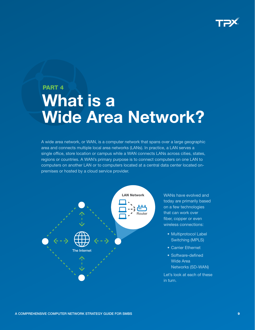

## <span id="page-8-0"></span>PART 4 What is a Wide Area Network?

A wide area network, or WAN, is a computer network that spans over a large geographic area and connects multiple local area networks (LANs). In practice, a LAN serves a single office, store location or campus while a WAN connects LANs across cities, states, regions or countries. A WAN's primary purpose is to connect computers on one LAN to computers on another LAN or to computers located at a central data center located onpremises or hosted by a cloud service provider.



WANs have evolved and today are primarily based on a few technologies that can work over fiber, copper or even wireless connections:

- Multiprotocol Label Switching (MPLS)
- Carrier Ethernet
- Software-defined Wide Area Networks (SD-WAN)

Let's look at each of these in turn.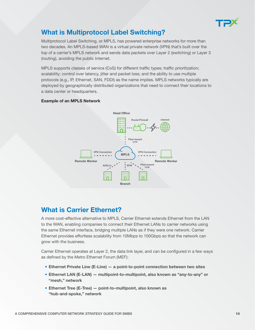

## <span id="page-9-0"></span>What is Multiprotocol Label Switching?

Multiprotocol Label Switching, or MPLS, has powered enterprise networks for more than two decades. An MPLS-based WAN is a virtual private network (VPN) that's built over the top of a carrier's MPLS network and sends data packets over Layer 2 (switching) or Layer 3 (routing), avoiding the public Internet.

MPLS supports classes of service (CoS) for different traffic types; traffic prioritization; scalability; control over latency, jitter and packet loss; and the ability to use multiple protocols (e.g., IP, Ethernet, SAN, FDDI) as the name implies. MPLS networks typically are deployed by geographically distributed organizations that need to connect their locations to a data center or headquarters.

#### Example of an MPLS Network



## What is Carrier Ethernet?

A more cost-effective alternative to MPLS, Carrier Ethernet extends Ethernet from the LAN to the WAN, enabling companies to connect their Ethernet LANs to carrier networks using the same Ethernet interface, bridging multiple LANs as if they were one network. Carrier Ethernet provides effortless scalability from 10Mbps to 100Gbps so that the network can grow with the business.

Carrier Ethernet operates at Layer 2, the data link layer, and can be configured in a few ways as defined by the Metro Ethernet Forum (MEF):

- Ethernet Private Line (E-Line) a point-to-point connection between two sites
- Ethernet LAN (E-LAN) multipoint-to-multipoint, also known as "any-to-any" or "mesh," network
- Ethernet Tree (E-Tree) point-to-multipoint, also known as "hub-and-spoke," network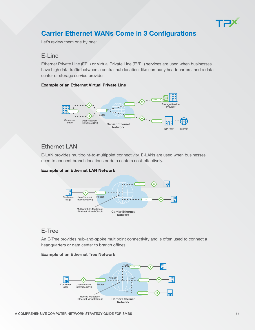

## Carrier Ethernet WANs Come in 3 Configurations

Let's review them one by one:

### E-Line

Ethernet Private Line (EPL) or Virtual Private Line (EVPL) services are used when businesses have high data traffic between a central hub location, like company headquarters, and a data center or storage service provider.

#### Example of an Ethernet Virtual Private Line



### Ethernet LAN

E-LAN provides multipoint-to-multipoint connectivity. E-LANs are used when businesses need to connect branch locations or data centers cost-effectively.

#### Example of an Ethernet LAN Network



## E-Tree

An E-Tree provides hub-and-spoke multipoint connectivity and is often used to connect a headquarters or data center to branch offices.

#### Example of an Ethernet Tree Network

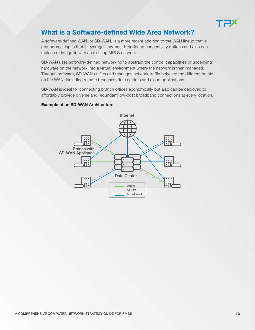

## <span id="page-11-0"></span>What is a Software-defined Wide Area Network?

A software-defined WAN, or [SD-WAN,](https://www.tpx.com/services/managed-it/managed-wan/) is a more recent addition to the WAN lineup that is groundbreaking in that it leverages low-cost broadband connectivity options and also can replace or integrate with an existing MPLS network.

SD-WAN uses software-defined networking to abstract the control capabilities of underlying hardware on the network into a virtual environment where the network is then managed. Through software, SD-WAN unifies and manages network traffic between the different points on the WAN, including remote branches, data centers and cloud applications.

SD-WAN is ideal for connecting branch offices economically but also can be deployed to affordably provide diverse and redundant low-cost broadband connections at every location.

#### Example of an SD-WAN Architecture

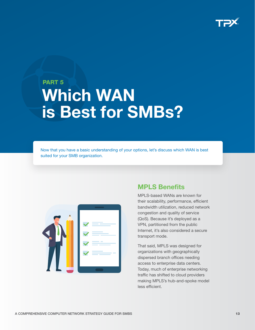

## <span id="page-12-0"></span>PART 5 Which WAN is Best for SMBs?

Now that you have a basic understanding of your options, let's discuss which WAN is best suited for your SMB organization.



## MPLS Benefits

MPLS-based WANs are known for their scalability, performance, efficient bandwidth utilization, reduced network congestion and quality of service (QoS). Because it's deployed as a VPN, partitioned from the public Internet, it's also considered a secure transport mode.

That said, MPLS was designed for organizations with geographically dispersed branch offices needing access to enterprise data centers. Today, much of enterprise networking traffic has shifted to cloud providers making MPLS's hub-and-spoke model less efficient.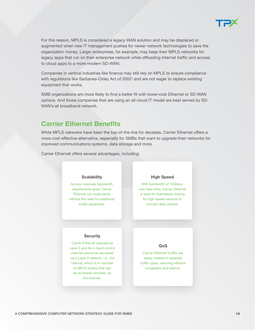

<span id="page-13-0"></span>For this reason, MPLS is considered a legacy WAN solution and may be displaced or augmented when new IT management pushes for newer network technologies to save the organization money. Larger enterprises, for example, may keep their MPLS networks for legacy apps that run on their enterprise network while offloading Internet traffic and access to cloud apps to a more modern SD-WAN.

Companies in vertical industries like finance may still rely on MPLS to ensure compliance with regulations like Sarbanes-Oxley Act of 2002<sup>1</sup> and are not eager to replace existing equipment that works.

SMB organizations are more likely to find a better fit with lower-cost Ethernet or SD-WAN options. And those companies that are using an all-cloud IT model are best served by SD-WAN's all broadband network.

### Carrier Ethernet Benefits

While MPLS networks have been the top-of-the-line for decades, Carrier Ethernet offers a more cost-effective alternative, especially for SMBs that want to upgrade their networks for improved communications systems, data storage and more.

Carrier Ethernet offers several advantages, including:

#### **Scalability**

As your business bandwidth requirements grow, Carrier Ethernet can scale easily without the need for additional onsite equipment.

#### High Speed

With bandwidth of 10Gbps+ over fiber links, Carrier Ethernet is ideal for businesses looking for high-speed services to connect data centers.

#### **Security**

Carrier Ethernet operates at Layer 2 and its in-band control channel cannot be accessed via a Layer 3 network, i.e., the Internet, which is in contrast to MPLS routers that can be accessed remotely via the Internet.

#### QoS

Carrier Ethernet VLANs are easily created to separate traffic types, reducing network congestion and latency.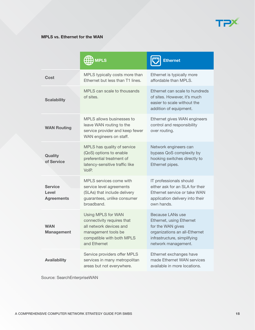

<span id="page-14-0"></span>

|                                              | $\overline{\text{HB}}$ MPLS                                                                                                                     | <b>Ethernet</b>                                                                                                                                          |
|----------------------------------------------|-------------------------------------------------------------------------------------------------------------------------------------------------|----------------------------------------------------------------------------------------------------------------------------------------------------------|
| Cost                                         | MPLS typically costs more than<br>Ethernet but less than T1 lines.                                                                              | Ethernet is typically more<br>affordable than MPLS.                                                                                                      |
| <b>Scalability</b>                           | MPLS can scale to thousands<br>of sites.                                                                                                        | Ethernet can scale to hundreds<br>of sites. However, it's much<br>easier to scale without the<br>addition of equipment.                                  |
| <b>WAN Routing</b>                           | MPLS allows businesses to<br>leave WAN routing to the<br>service provider and keep fewer<br>WAN engineers on staff.                             | Ethernet gives WAN engineers<br>control and responsibility<br>over routing.                                                                              |
| Quality<br>of Service                        | MPLS has quality of service<br>(QoS) options to enable<br>preferential treatment of<br>latency-sensitive traffic like<br>VoIP.                  | Network engineers can<br>bypass QoS complexity by<br>hooking switches directly to<br>Ethernet pipes.                                                     |
| <b>Service</b><br>Level<br><b>Agreements</b> | MPLS services come with<br>service level agreements<br>(SLAs) that include delivery<br>guarantees, unlike consumer<br>broadband.                | IT professionals should<br>either ask for an SLA for their<br>Ethernet service or take WAN<br>application delivery into their<br>own hands.              |
| <b>WAN</b><br><b>Management</b>              | Using MPLS for WAN<br>connectivity requires that<br>all network devices and<br>management tools be<br>compatible with both MPLS<br>and Ethernet | Because LANs use<br>Ethernet, using Ethernet<br>for the WAN gives<br>organizations an all-Ethernet<br>infrastructure, simplifying<br>network management. |
| <b>Availability</b>                          | Service providers offer MPLS<br>services in many metropolitan<br>areas but not everywhere.                                                      | Ethernet exchanges have<br>made Ethernet WAN services<br>available in more locations.                                                                    |

Source: SearchEnterpriseWAN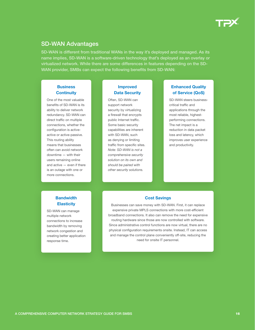

#### <span id="page-15-0"></span>SD-WAN Advantages

SD-WAN is different from traditional WANs in the way it's deployed and managed. As its name implies, SD-WAN is a software-driven technology that's deployed as an overlay or virtualized network. While there are some differences in features depending on the SD-WAN provider, SMBs can expect the following benefits from SD-WAN:

#### **Business Continuity**

One of the most valuable benefits of SD-WAN is its ability to deliver network redundancy. SD-WAN can direct traffic on multiple connections, whether the configuration is activeactive or active-passive. This routing ability means that businesses often can avoid network downtime — with their users remaining online and active — even if there is an outage with one or more connections.

#### Improved Data Security

Often, SD-WAN can support network security by virtualizing a firewall that encrypts public Internet traffic. Some basic security capabilities are inherent with SD-WAN, such as denying or limiting traffic from specific sites. *Note: SD-WAN is not a comprehensive security solution on its own and should be paired with other security solutions.*

#### Enhanced Quality of Service (QoS)

SD-WAN steers businesscritical traffic and applications through the most reliable, highestperforming connections. The net impact is a reduction in data packet loss and latency, which improves user experience and productivity.

#### **Bandwidth Elasticity**

SD-WAN can manage multiple network connections to increase bandwidth by removing network congestion and creating better application response time.

#### Cost Savings

Businesses can save money with SD-WAN. First, it can replace expensive private MPLS connections with more cost-efficient broadband connections. It also can remove the need for expensive routing hardware since those are now controlled with software. Since administrative control functions are now virtual, there are no physical configuration requirements onsite. Instead, IT can access and manage the control plane conveniently off-site, reducing the need for onsite IT personnel.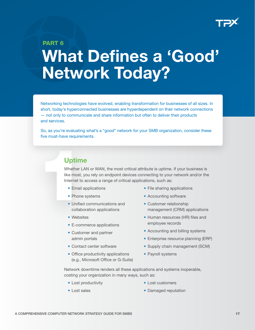

## <span id="page-16-0"></span>PART 6 What Defines a 'Good' Network Today?

Networking technologies have evolved, enabling transformation for businesses of all sizes. In short, today's hyperconnected businesses are hyperdependent on their network connections — not only to communicate and share information but often to deliver their products and services.

So, as you're evaluating what's a "good" network for your SMB organization, consider these five must-have requirements.

## Uptime

Uptime<br>
Whether LA<br>
like most, y<br>
Internet to<br>
• Email a<br>
• Phone<br>
• Unified<br>
collabc Whether LAN or WAN, the most critical attribute is uptime. If your business is like most, you rely on endpoint devices connecting to your network and/or the Internet to access a range of critical applications, such as:

- Email applications
- Phone systems
- Unified communications and collaboration applications
- Websites
- E-commerce applications
- Customer and partner admin portals
- Contact center software
- Office productivity applications (e.g., Microsoft Office or G-Suite)
- File sharing applications
- Accounting software
- Customer relationship management (CRM) applications
- Human resources (HR) files and employee records
- Accounting and billing systems
- Enterprise resource planning (ERP)
- Supply chain management (SCM)
- Payroll systems

Network downtime renders all these applications and systems inoperable, costing your organization in many ways, such as:

- Lost productivity
- Lost sales
- Lost customers
- Damaged reputation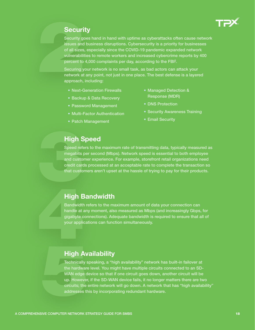

## **Security**

<span id="page-17-0"></span>**Security**<br>
Security go<br>
issues and<br>
of all sizes<br>
vulnerability<br>
percent to<br>
Securing y<br>
network at<br>
approach, Security goes hand in hand with uptime as cyberattacks often cause network issues and business disruptions. Cybersecurity is a priority for businesses of all sizes, especially since the COVID-19 pandemic expanded network vulnerabilities to remote workers and increased [cybercrime reports by 400](https://apnews.com/press-release/newswire/d50cabdf813c59e4c1ffe046009b41b6)  percent to 4,000 complaints per day, according to the FBI<sup>2</sup>.

Securing your network is no small task, as bad actors can attack your network at any point, not just in one place. The best defense is a layered approach, including:

- Next-Generation Firewalls
- Backup & Data Recovery
- Password Management
- Multi-Factor Authentication
- Patch Management
- Managed Detection & Response (MDR)
- DNS Protection
- Security Awareness Training
- Email Security

## High Speed

3 Speed refers to the maximum rate of transmitting data, typically measured as megabits per second (Mbps). Network speed is essential to both employee and customer experience. For example, storefront retail organizations need credit cards processed at an acceptable rate to complete the transaction so that customers aren't upset at the hassle of trying to pay for their products.

## High Bandwidth

High B<br>Bandwidth<br>handle at a<br>gigabyte c<br>your applic Bandwidth refers to the maximum amount of data your connection can handle at any moment, also measured as Mbps (and increasingly Gbps, for gigabyte connections). Adequate bandwidth is required to ensure that all of your applications can function simultaneously.

## High Availability

High Av<br>
Technically s<br>
the hardware<br>
WAN edge d<br>
up. However,<br>
circuits; the exaddresses the<br>
addresses th Technically speaking, a "high availability" network has built-in failover at the hardware level. You might have multiple circuits connected to an SD-WAN edge device so that if one circuit goes down, another circuit will be up. However, if the SD-WAN device fails, it no longer matters there are two circuits; the entire network will go down. A network that has "high availability" addresses this by incorporating redundant hardware.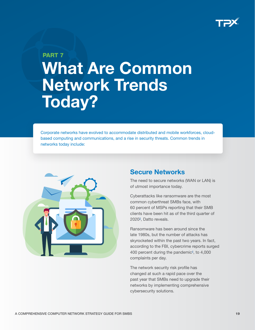

## <span id="page-18-0"></span>PART 7 What Are Common Network Trends Today?

Corporate networks have evolved to accommodate distributed and mobile workforces, cloudbased computing and communications, and a rise in security threats. Common trends in networks today include:



### Secure Networks

The need to secure networks (WAN or LAN) is of utmost importance today.

Cyberattacks like ransomware are the most common cyberthreat SMBs face, with [60 percent of MSPs reporting that their SMB](https://www.helpnetsecurity.com/2020/11/18/ransomware-cyber-threat-smbs/)  [clients have been hit as of the third quarter of](https://www.helpnetsecurity.com/2020/11/18/ransomware-cyber-threat-smbs/)  2020<sup>3</sup>, Datto reveals.

Ransomware has been around since the late 1980s, but the number of attacks has skyrocketed within the past two years. In fact, according to the FBI, [cybercrime reports surged](https://apnews.com/press-release/newswire/d50cabdf813c59e4c1ffe046009b41b6)  [400 percent during the pandemic](https://apnews.com/press-release/newswire/d50cabdf813c59e4c1ffe046009b41b6) $4$ , to 4,000 complaints per day.

The network security risk profile has changed at such a rapid pace over the past year that SMBs need to upgrade their networks by implementing comprehensive cybersecurity solutions.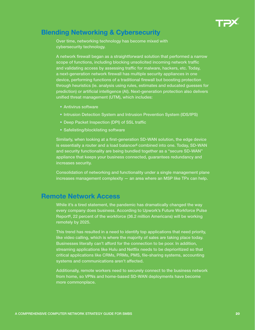

## <span id="page-19-0"></span>Blending Networking & Cybersecurity

Over time, networking technology has become mixed with cybersecurity technology.

A network firewall began as a straightforward solution that performed a narrow scope of functions, including blocking unsolicited incoming network traffic and validating access by assessing traffic for malware, hackers, etc. Today, a next-generation network firewall has multiple security appliances in one device, performing functions of a traditional firewall but boosting protection through heuristics (ie. analysis using rules, estimates and educated guesses for prediction) or artificial intelligence (AI). Next-generation protection also delivers unified threat management (UTM), which includes:

- Antivirus software
- Intrusion Detection System and Intrusion Prevention System (IDS/IPS)
- Deep Packet Inspection (DPI) of SSL traffic
- Safelisting/blocklisting software

Similarly, when looking at a first-generation SD-WAN solution, the edge device is essentially a router and a load balancer<sup>s</sup> combined into one. Today, SD-WAN and security functionality are being bundled together as a "secure SD-WAN" appliance that keeps your business connected, guarantees redundancy and increases security.

Consolidation of networking and functionality under a single management plane increases management complexity — an area where an MSP like TPx can help.

## Remote Network Access

While it's a tired statement, the pandemic has dramatically changed the way every company does business. According to Upwork's [Future Workforce Pulse](https://www.upwork.com/press/releases/economist-report-future-workforce)  [Report](https://www.upwork.com/press/releases/economist-report-future-workforce)<sup>e</sup>, 22 percent of the workforce (36.2 million Americans) will be working remotely by 2025.

This trend has resulted in a need to identify top applications that need priority, like video calling, which is where the majority of sales are taking place today. Businesses literally can't afford for the connection to be poor. In addition, streaming applications like Hulu and Netflix needs to be deprioritized so that critical applications like CRMs, PRMs, PMS, file-sharing systems, accounting systems and communications aren't affected.

Additionally, remote workers need to securely connect to the business network from home, so VPNs and home-based SD-WAN deployments have become more commonplace.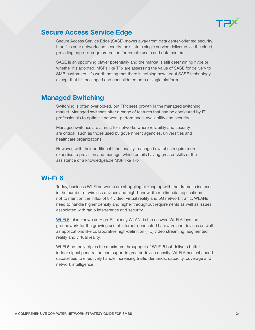

### <span id="page-20-0"></span>Secure Access Service Edge

Secure Access Service Edge (SASE) moves away from data center-oriented security. It unifies your network and security tools into a single service delivered via the cloud, providing edge-to-edge protection for remote users and data centers.

SASE is an upcoming player potentially and the market is still determining hype or whether it's adopted. MSPs like TPx are assessing the value of SASE for delivery to SMB customers. It's worth noting that there is nothing new about SASE technology except that it's packaged and consolidated onto a single platform.

## Managed Switching

Switching is often overlooked, but TPx sees growth in the managed switching market. Managed switches offer a range of features that can be configured by IT professionals to optimize network performance, availability and security.

Managed switches are a must for networks where reliability and security are critical, such as those used by government agencies, universities and healthcare organizations.

However, with their additional functionality, managed switches require more expertise to provision and manage, which entails having greater skills or the assistance of a knowledgeable MSP like TPx.

## Wi-Fi 6

Today, business Wi-Fi networks are struggling to keep up with the dramatic increase in the number of wireless devices and high-bandwidth multimedia applications not to mention the influx of 8K video, virtual reality and 5G network traffic. WLANs need to handle higher density and higher throughput requirements as well as issues associated with radio interference and security.

[Wi-Fi 6,](https://www.tpx.com/services/managed-it/managed-networks/managed-wi-fi-6) also known as High-Efficiency WLAN, is the answer. Wi-Fi 6 lays the groundwork for the growing use of internet-connected hardware and devices as well as applications like collaborative high-definition (HD) video streaming, augmented reality and virtual reality.

Wi-Fi 6 not only triples the maximum throughput of Wi-Fi 5 but delivers better indoor signal penetration and supports greater device density. Wi-Fi 6 has enhanced capabilities to effectively handle increasing traffic demands, capacity, coverage and network intelligence.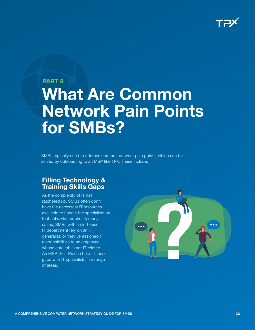

## <span id="page-21-0"></span>PART 8 What Are Common Network Pain Points for SMBs?

SMBs typically need to address common network pain points, which can be solved by outsourcing to an MSP like TPx. These include:

## Filling Technology & Training Skills Gaps

As the complexity of IT has ratcheted up, SMBs often don't have the necessary IT resources available to handle the specialization that networks require. In many cases, SMBs with an in-house IT department rely on an IT generalist, or they've assigned IT responsibilities to an employee whose core job is not IT-related. An MSP like TPx can help fill these gaps with IT specialists in a range of areas.

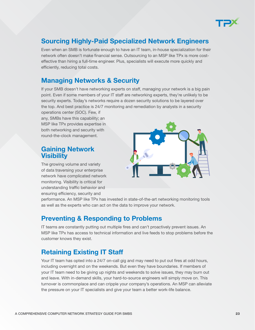

## <span id="page-22-0"></span>Sourcing Highly-Paid Specialized Network Engineers

Even when an SMB is fortunate enough to have an IT team, in-house specialization for their network often doesn't make financial sense. Outsourcing to an MSP like TPx is more costeffective than hiring a full-time engineer. Plus, specialists will execute more quickly and efficiently, reducing total costs.

## Managing Networks & Security

If your SMB doesn't have networking experts on staff, managing your network is a big pain point. Even if some members of your IT staff are networking experts, they're unlikely to be security experts. Today's networks require a dozen security solutions to be layered over the top. And best practice is 24/7 monitoring and remediation by analysts in a security

operations center (SOC). Few, if any, SMBs have this capability; an MSP like TPx provides expertise in both networking and security with round-the-clock management.

### Gaining Network **Visibility**

The growing volume and variety of data traversing your enterprise network have complicated network monitoring. Visibility is critical for understanding traffic behavior and ensuring efficiency, security and



performance. An MSP like TPx has invested in state-of-the-art networking monitoring tools as well as the experts who can act on the data to improve your network.

## Preventing & Responding to Problems

IT teams are constantly putting out multiple fires and can't proactively prevent issues. An MSP like TPx has access to technical information and live feeds to stop problems before the customer knows they exist.

## Retaining Existing IT Staff

Your IT team has opted into a 24/7 on-call gig and may need to put out fires at odd hours, including overnight and on the weekends. But even they have boundaries. If members of your IT team need to be giving up nights and weekends to solve issues, they may burn out and leave. With in-demand skills, your hard-to-source engineers will simply move on. This turnover is commonplace and can cripple your company's operations. An MSP can alleviate the pressure on your IT specialists and give your team a better work-life balance.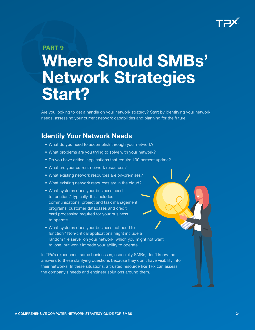

#### <span id="page-23-0"></span>PART<sub>9</sub>

# Where Should SMBs' Network Strategies Start?

Are you looking to get a handle on your network strategy? Start by identifying your network needs, assessing your current network capabilities and planning for the future.

### Identify Your Network Needs

- What do you need to accomplish through your network?
- What problems are you trying to solve with your network?
- Do you have critical applications that require 100 percent uptime?
- What are your current network resources?
- What existing network resources are on-premises?
- What existing network resources are in the cloud?
- What systems does your business need to function? Typically, this includes communications, project and task management programs, customer databases and credit card processing required for your business to operate.
- What systems does your business not need to function? Non-critical applications might include a random file server on your network, which you might not want to lose, but won't impede your ability to operate.

In TPx's experience, some businesses, especially SMBs, don't know the answers to these clarifying questions because they don't have visibility into their networks. In these situations, a trusted resource like TPx can assess the company's needs and engineer solutions around them.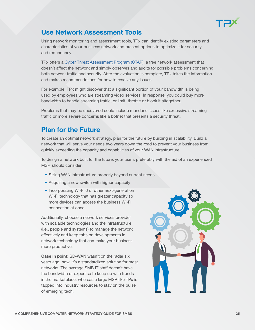

## <span id="page-24-0"></span>Use Network Assessment Tools

Using network monitoring and assessment tools, TPx can identify existing parameters and characteristics of your business network and present options to optimize it for security and redundancy.

TPx offers a [Cyber Threat Assessment Program \(CTAP\),](https://www.tpx.com/wp-content/uploads/2021/10/CTAP-datasheet-direct.pdf?utm_source=Networking+Guide+for+SMBs+&utm_medium=Networking+Guide+for+SMBs+&utm_campaign=Networking+Guide+for+SMBs+&utm_id=CTAP+) a free network assessment that doesn't affect the network and simply observes and audits for possible problems concerning both network traffic and security. After the evaluation is complete, TPx takes the information and makes recommendations for how to resolve any issues.

For example, TPx might discover that a significant portion of your bandwidth is being used by employees who are streaming video services. In response, you could buy more bandwidth to handle streaming traffic, or limit, throttle or block it altogether.

Problems that may be uncovered could include mundane issues like excessive streaming traffic or more severe concerns like a botnet that presents a security threat.

## Plan for the Future

To create an optimal network strategy, plan for the future by building in scalability. Build a network that will serve your needs two years down the road to prevent your business from quickly exceeding the capacity and capabilities of your WAN infrastructure.

To design a network built for the future, your team, preferably with the aid of an experienced MSP, should consider:

- Sizing WAN infrastructure properly beyond current needs
- Acquiring a new switch with higher capacity
- Incorporating Wi-Fi 6 or other next-generation Wi-Fi technology that has greater capacity so more devices can access the business Wi-Fi connection at once

Additionally, choose a network services provider with scalable technologies and the infrastructure (i.e., people and systems) to manage the network effectively and keep tabs on developments in network technology that can make your business more productive.

Case in point: SD-WAN wasn't on the radar six years ago; now, it's a standardized solution for most networks. The average SMB IT staff doesn't have the bandwidth or expertise to keep up with trends in the marketplace, whereas a large MSP like TPx is tapped into industry resources to stay on the pulse of emerging tech.

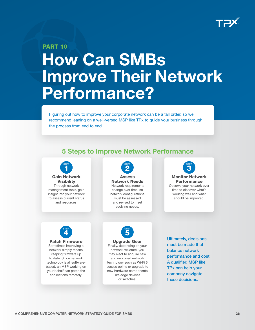

# <span id="page-25-0"></span>PART 10 How Can SMBs Improve Their Network Performance?

Figuring out how to improve your corporate network can be a tall order, so we recommend leaning on a well-versed MSP like TPx to guide your business through the process from end to end.

## 5 Steps to Improve Network Performance





and revised to meet evolving needs.







Upgrade Gear Finally, depending on your network structure, you may elect to acquire new and improved network technology such as Wi-Fi 6 access points or upgrade to new hardware components like edge devices or switches.

Ultimately, decisions must be made that balance network performance and cost. A qualified MSP like TPx can help your company navigate these decisions.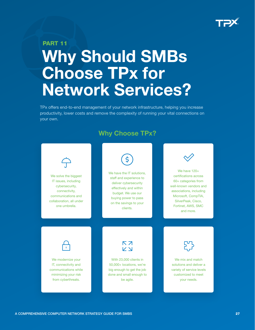

## <span id="page-26-0"></span>PART 11 Why Should SMBs Choose TPx for Network Services?

TPx offers end-to-end management of your network infrastructure, helping you increase productivity, lower costs and remove the complexity of running your vital connections on your own.

## Why Choose TPx?

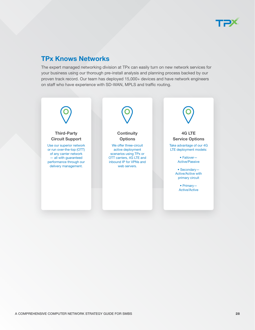

## TPx Knows Networks

The expert managed networking division at TPx can easily turn on new network services for your business using our thorough pre-install analysis and planning process backed by our proven track record. Our team has deployed 15,000+ devices and have network engineers on staff who have experience with SD-WAN, MPLS and traffic routing.

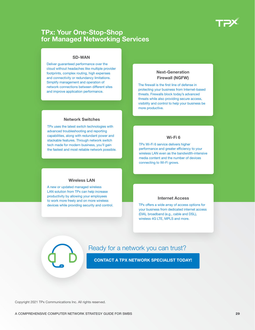

### TPx: Your One-Stop-Shop for Managed Networking Services

#### SD-WAN

Deliver guaranteed performance over the cloud without headaches like multiple provider footprints, complex routing, high expenses and connectivity or redundancy limitations. Simplify management and operation of network connections between different sites and improve application performance.

#### Next-Generation Firewall (NGFW)

The firewall is the first line of defense in protecting your business from Internet-based threats. Firewalls block today's advanced threats while also providing secure access, visibility and control to help your business be more productive.

#### Network Switches

TPx uses the latest switch technologies with advanced troubleshooting and reporting capabilities, along with redundant power and stackable features. Through network switch tech made for modern business, you'll gain the fastest and most reliable network possible.

#### Wi-Fi 6

TPx Wi-Fi 6 service delivers higher performance and greater efficiency to your wireless LAN even as the bandwidth-intensive media content and the number of devices connecting to Wi-Fi grows.

#### Wireless LAN

A new or updated managed wireless LAN solution from TPx can help increase productivity by allowing your employees to work more freely and on more wireless devices while providing security and control.

#### Internet Access

TPx offers a wide array of access options for your business from dedicated internet access (DIA), broadband (e.g., cable and DSL), wireless 4G LTE, MPLS and more.

### Ready for a network you can trust?

[CONTACT A TPX NETWORK SPECIALIST TODAY!](https://www.tpx.com/contact-sales/?utm_source=Networking+Guide+for+SMBs+&utm_medium=Networking+Guide+for+SMBs+&utm_campaign=Networking+Guide+for+SMBs+)

Copyright 2021 TPx Communications Inc. All rights reserved.